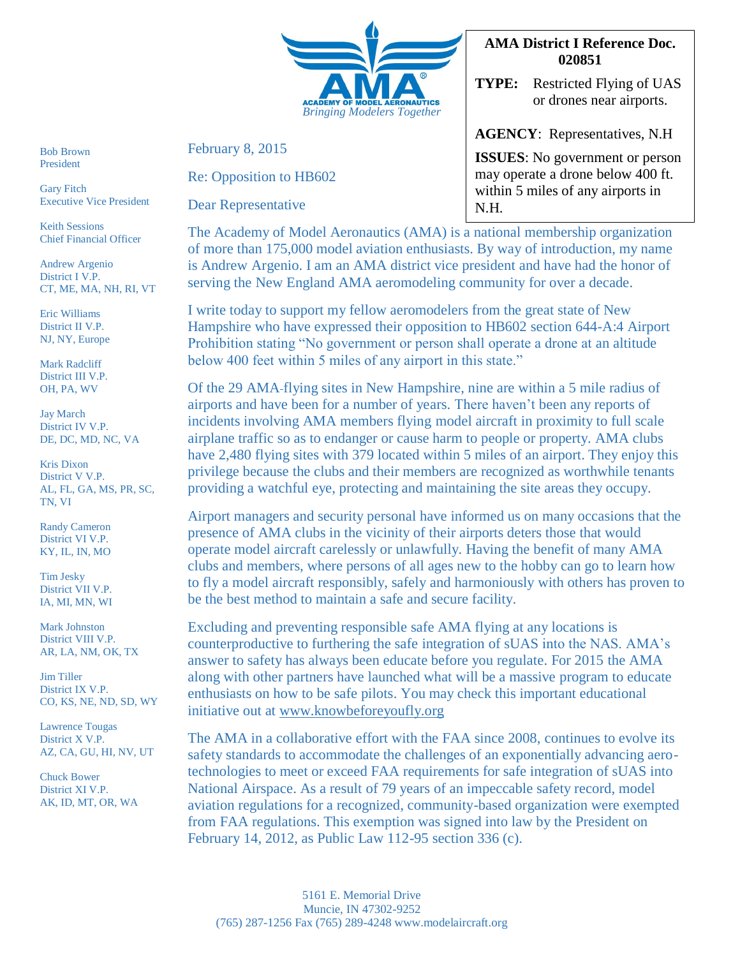

Bob Brown President

Gary Fitch Executive Vice President

Keith Sessions Chief Financial Officer

Andrew Argenio District I V.P. CT, ME, MA, NH, RI, VT

Eric Williams District II V.P. NJ, NY, Europe

Mark Radcliff District III V.P. OH, PA, WV

Jay March District IV V.P. DE, DC, MD, NC, VA

Kris Dixon District V V.P. AL, FL, GA, MS, PR, SC, TN, VI

Randy Cameron District VI V.P. KY, IL, IN, MO

Tim Jesky District VII V.P. IA, MI, MN, WI

Mark Johnston District VIII V.P. AR, LA, NM, OK, TX

Jim Tiller District IX V.P. CO, KS, NE, ND, SD, WY

Lawrence Tougas District X V.P. AZ, CA, GU, HI, NV, UT

Chuck Bower District XI V.P. AK, ID, MT, OR, WA February 8, 2015

Re: Opposition to HB602

Dear Representative

## **AMA District I Reference Doc. 020851**

**TYPE:** Restricted Flying of UAS or drones near airports.

**AGENCY**: Representatives, N.H

**ISSUES**: No government or person may operate a drone below 400 ft. within 5 miles of any airports in N.H.

The Academy of Model Aeronautics (AMA) is a national membership organization of more than 175,000 model aviation enthusiasts. By way of introduction, my name is Andrew Argenio. I am an AMA district vice president and have had the honor of serving the New England AMA aeromodeling community for over a decade.

I write today to support my fellow aeromodelers from the great state of New Hampshire who have expressed their opposition to HB602 section 644-A:4 Airport Prohibition stating "No government or person shall operate a drone at an altitude below 400 feet within 5 miles of any airport in this state."

Of the 29 AMA flying sites in New Hampshire, nine are within a 5 mile radius of airports and have been for a number of years. There haven't been any reports of incidents involving AMA members flying model aircraft in proximity to full scale airplane traffic so as to endanger or cause harm to people or property. AMA clubs have 2,480 flying sites with 379 located within 5 miles of an airport. They enjoy this privilege because the clubs and their members are recognized as worthwhile tenants providing a watchful eye, protecting and maintaining the site areas they occupy.

Airport managers and security personal have informed us on many occasions that the presence of AMA clubs in the vicinity of their airports deters those that would operate model aircraft carelessly or unlawfully. Having the benefit of many AMA clubs and members, where persons of all ages new to the hobby can go to learn how to fly a model aircraft responsibly, safely and harmoniously with others has proven to be the best method to maintain a safe and secure facility.

Excluding and preventing responsible safe AMA flying at any locations is counterproductive to furthering the safe integration of sUAS into the NAS. AMA's answer to safety has always been educate before you regulate. For 2015 the AMA along with other partners have launched what will be a massive program to educate enthusiasts on how to be safe pilots. You may check this important educational initiative out at [www.knowbeforeyoufly.org](http://www.knowbeforeyoufly.org/) 

The AMA in a collaborative effort with the FAA since 2008, continues to evolve its safety standards to accommodate the challenges of an exponentially advancing aerotechnologies to meet or exceed FAA requirements for safe integration of sUAS into National Airspace. As a result of 79 years of an impeccable safety record, model aviation regulations for a recognized, community-based organization were exempted from FAA regulations. This exemption was signed into law by the President on February 14, 2012, as Public Law 112-95 section 336 (c).